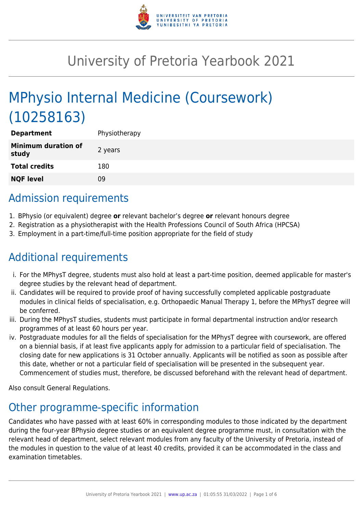

# University of Pretoria Yearbook 2021

# MPhysio Internal Medicine (Coursework) (10258163)

| <b>Department</b>                   | Physiotherapy |
|-------------------------------------|---------------|
| <b>Minimum duration of</b><br>study | 2 years       |
| <b>Total credits</b>                | 180           |
| <b>NQF level</b>                    | 09            |

# Admission requirements

- 1. BPhysio (or equivalent) degree **or** relevant bachelor's degree **or** relevant honours degree
- 2. Registration as a physiotherapist with the Health Professions Council of South Africa (HPCSA)
- 3. Employment in a part-time/full-time position appropriate for the field of study

# Additional requirements

- i. For the MPhysT degree, students must also hold at least a part-time position, deemed applicable for master's degree studies by the relevant head of department.
- ii. Candidates will be required to provide proof of having successfully completed applicable postgraduate modules in clinical fields of specialisation, e.g. Orthopaedic Manual Therapy 1, before the MPhysT degree will be conferred.
- iii. During the MPhysT studies, students must participate in formal departmental instruction and/or research programmes of at least 60 hours per year.
- iv. Postgraduate modules for all the fields of specialisation for the MPhysT degree with coursework, are offered on a biennial basis, if at least five applicants apply for admission to a particular field of specialisation. The closing date for new applications is 31 October annually. Applicants will be notified as soon as possible after this date, whether or not a particular field of specialisation will be presented in the subsequent year. Commencement of studies must, therefore, be discussed beforehand with the relevant head of department.

Also consult General Regulations.

# Other programme-specific information

Candidates who have passed with at least 60% in corresponding modules to those indicated by the department during the four-year BPhysio degree studies or an equivalent degree programme must, in consultation with the relevant head of department, select relevant modules from any faculty of the University of Pretoria, instead of the modules in question to the value of at least 40 credits, provided it can be accommodated in the class and examination timetables.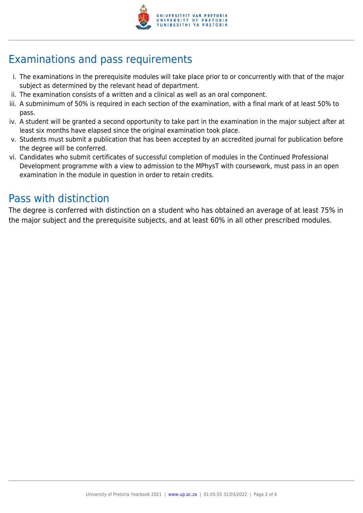

# Examinations and pass requirements

- i. The examinations in the prerequisite modules will take place prior to or concurrently with that of the major subject as determined by the relevant head of department.
- ii. The examination consists of a written and a clinical as well as an oral component.
- iii. A subminimum of 50% is required in each section of the examination, with a final mark of at least 50% to pass.
- iv. A student will be granted a second opportunity to take part in the examination in the major subject after at least six months have elapsed since the original examination took place.
- v. Students must submit a publication that has been accepted by an accredited journal for publication before the degree will be conferred.
- vi. Candidates who submit certificates of successful completion of modules in the Continued Professional Development programme with a view to admission to the MPhysT with coursework, must pass in an open examination in the module in question in order to retain credits.

## Pass with distinction

The degree is conferred with distinction on a student who has obtained an average of at least 75% in the major subject and the prerequisite subjects, and at least 60% in all other prescribed modules.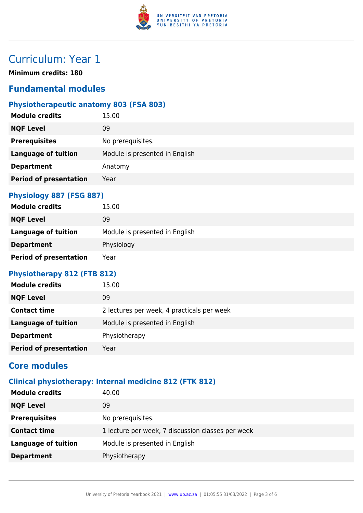

# Curriculum: Year 1

**Minimum credits: 180**

## **Fundamental modules**

## **Physiotherapeutic anatomy 803 (FSA 803)**

| <b>Module credits</b>         | 15.00                          |
|-------------------------------|--------------------------------|
| <b>NQF Level</b>              | 09                             |
| <b>Prerequisites</b>          | No prerequisites.              |
| <b>Language of tuition</b>    | Module is presented in English |
| <b>Department</b>             | Anatomy                        |
| <b>Period of presentation</b> | Year                           |
|                               |                                |

#### **Physiology 887 (FSG 887)**

| <b>Module credits</b>         | 15.00                          |
|-------------------------------|--------------------------------|
| <b>NQF Level</b>              | 09                             |
| <b>Language of tuition</b>    | Module is presented in English |
| <b>Department</b>             | Physiology                     |
| <b>Period of presentation</b> | Year                           |

#### **Physiotherapy 812 (FTB 812)**

| <b>Module credits</b>         | 15.00                                      |
|-------------------------------|--------------------------------------------|
| <b>NQF Level</b>              | 09                                         |
| <b>Contact time</b>           | 2 lectures per week, 4 practicals per week |
| <b>Language of tuition</b>    | Module is presented in English             |
| <b>Department</b>             | Physiotherapy                              |
| <b>Period of presentation</b> | Year                                       |
|                               |                                            |

## **Core modules**

## **Clinical physiotherapy: Internal medicine 812 (FTK 812)**

| <b>Module credits</b>      | 40.00                                             |
|----------------------------|---------------------------------------------------|
| <b>NQF Level</b>           | 09                                                |
| <b>Prerequisites</b>       | No prerequisites.                                 |
| <b>Contact time</b>        | 1 lecture per week, 7 discussion classes per week |
| <b>Language of tuition</b> | Module is presented in English                    |
| <b>Department</b>          | Physiotherapy                                     |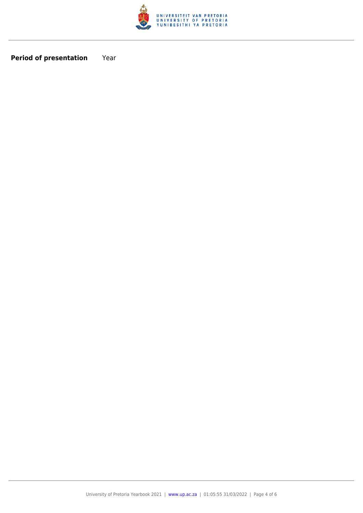

**Period of presentation** Year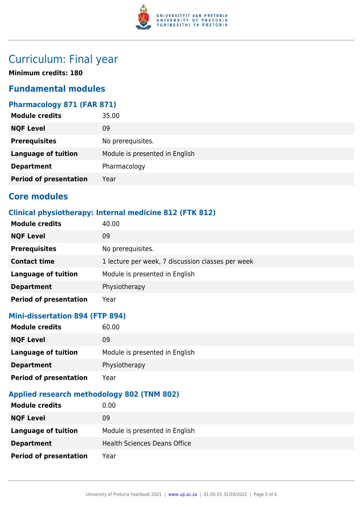

## Curriculum: Final year

**Minimum credits: 180**

## **Fundamental modules**

#### **Pharmacology 871 (FAR 871)**

| 35.00                          |
|--------------------------------|
| 09                             |
| No prerequisites.              |
| Module is presented in English |
| Pharmacology                   |
| Year                           |
|                                |

### **Core modules**

### **Clinical physiotherapy: Internal medicine 812 (FTK 812)**

| <b>Module credits</b>         | 40.00                                             |
|-------------------------------|---------------------------------------------------|
| <b>NQF Level</b>              | 09                                                |
| <b>Prerequisites</b>          | No prerequisites.                                 |
| <b>Contact time</b>           | 1 lecture per week, 7 discussion classes per week |
| <b>Language of tuition</b>    | Module is presented in English                    |
| <b>Department</b>             | Physiotherapy                                     |
| <b>Period of presentation</b> | Year                                              |

#### **Mini-dissertation 894 (FTP 894)**

| <b>Module credits</b>         | 60.00                          |
|-------------------------------|--------------------------------|
| <b>NQF Level</b>              | 09                             |
| Language of tuition           | Module is presented in English |
| <b>Department</b>             | Physiotherapy                  |
| <b>Period of presentation</b> | Year                           |

#### **Applied research methodology 802 (TNM 802)**

| <b>Module credits</b>         | 0.00                                |
|-------------------------------|-------------------------------------|
| <b>NQF Level</b>              | 09                                  |
| Language of tuition           | Module is presented in English      |
| <b>Department</b>             | <b>Health Sciences Deans Office</b> |
| <b>Period of presentation</b> | Year                                |